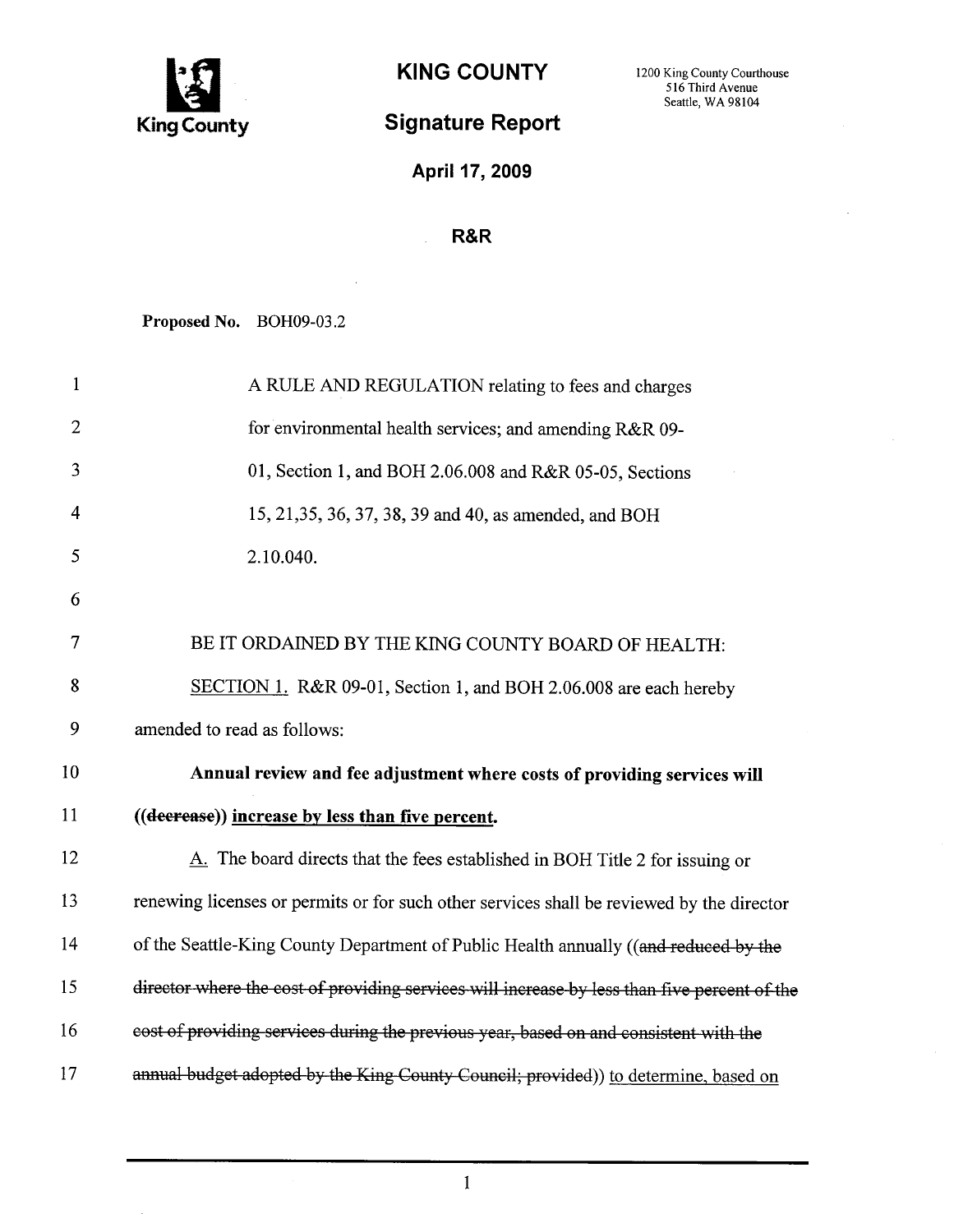

## Signature Report

April 17, 2009

## R&R

Proposed No. BOH09-03.2

 $\ddot{\phantom{a}}$ 

| $\mathbf{1}$   | A RULE AND REGULATION relating to fees and charges                                           |
|----------------|----------------------------------------------------------------------------------------------|
| $\overline{2}$ | for environmental health services; and amending R&R 09-                                      |
| 3              | 01, Section 1, and BOH 2.06.008 and R&R 05-05, Sections                                      |
| $\overline{4}$ | 15, 21, 35, 36, 37, 38, 39 and 40, as amended, and BOH                                       |
| 5              | 2.10.040.                                                                                    |
| 6              |                                                                                              |
| 7              | BE IT ORDAINED BY THE KING COUNTY BOARD OF HEALTH:                                           |
| 8              | SECTION 1. R&R 09-01, Section 1, and BOH 2.06.008 are each hereby                            |
| 9              | amended to read as follows:                                                                  |
| 10             | Annual review and fee adjustment where costs of providing services will                      |
| 11             | ((decrease)) increase by less than five percent.                                             |
| 12             | A. The board directs that the fees established in BOH Title 2 for issuing or                 |
| 13             | renewing licenses or permits or for such other services shall be reviewed by the director    |
| 14             | of the Seattle-King County Department of Public Health annually ((and reduced by the         |
| 15             | director where the cost of providing services will increase by less than five percent of the |
| 16             | cost of providing services during the previous year, based on and consistent with the        |
| 17             | annual budget adopted by the King-County Council; provided)) to determine, based on          |

1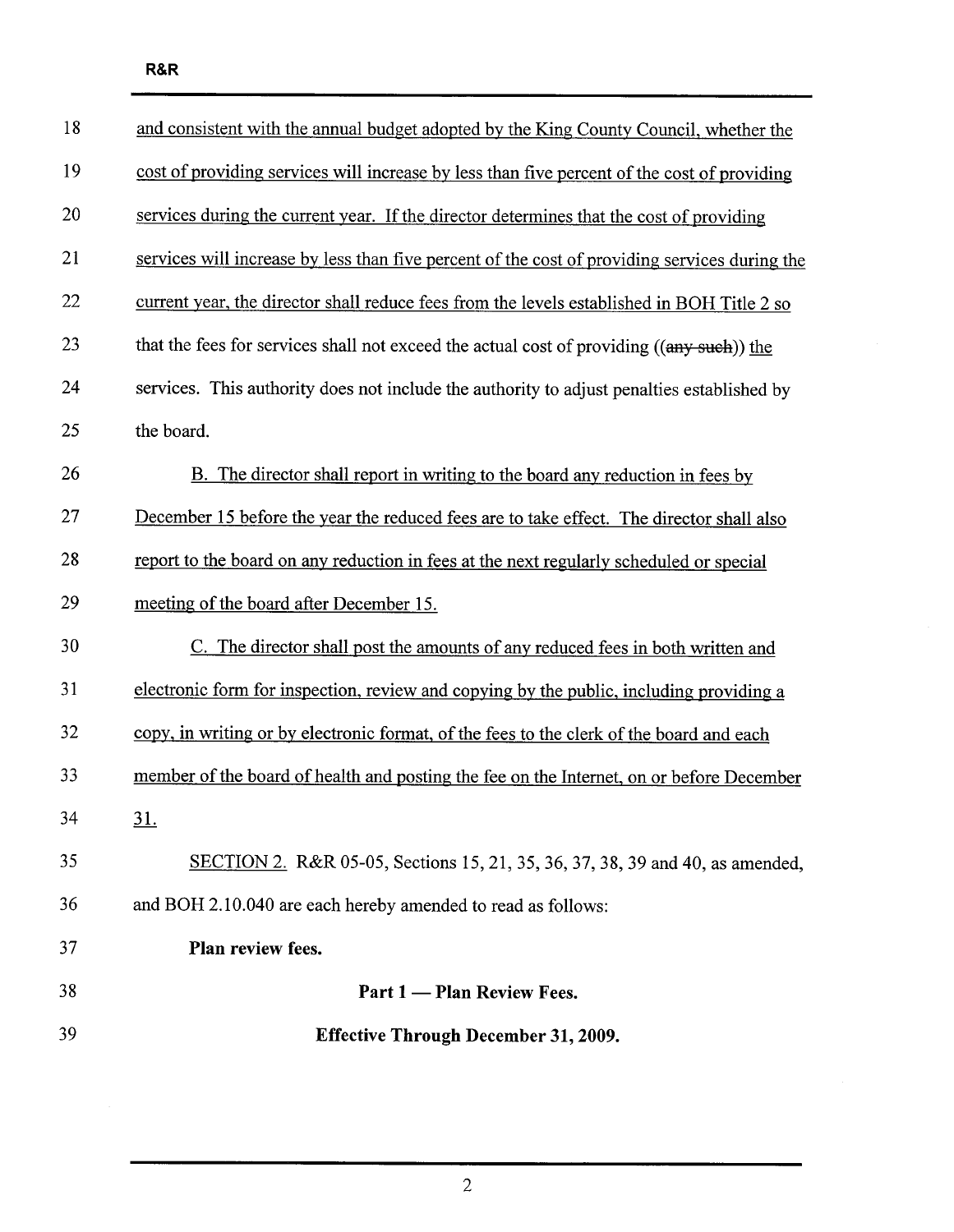| 18 | and consistent with the annual budget adopted by the King County Council, whether the         |
|----|-----------------------------------------------------------------------------------------------|
| 19 | cost of providing services will increase by less than five percent of the cost of providing   |
| 20 | services during the current year. If the director determines that the cost of providing       |
| 21 | services will increase by less than five percent of the cost of providing services during the |
| 22 | current year, the director shall reduce fees from the levels established in BOH Title 2 so    |
| 23 | that the fees for services shall not exceed the actual cost of providing ((any such)) the     |
| 24 | services. This authority does not include the authority to adjust penalties established by    |
| 25 | the board.                                                                                    |
| 26 | B. The director shall report in writing to the board any reduction in fees by                 |
| 27 | December 15 before the year the reduced fees are to take effect. The director shall also      |
| 28 | report to the board on any reduction in fees at the next regularly scheduled or special       |
| 29 | meeting of the board after December 15.                                                       |
| 30 | C. The director shall post the amounts of any reduced fees in both written and                |
| 31 | electronic form for inspection, review and copying by the public, including providing a       |
| 32 | copy, in writing or by electronic format, of the fees to the clerk of the board and each      |
| 33 | member of the board of health and posting the fee on the Internet, on or before December      |
|    |                                                                                               |
| 34 | <u>31.</u>                                                                                    |
| 35 | SECTION 2. R&R 05-05, Sections 15, 21, 35, 36, 37, 38, 39 and 40, as amended,                 |
| 36 | and BOH 2.10.040 are each hereby amended to read as follows:                                  |
| 37 | Plan review fees.                                                                             |
| 38 | Part 1 — Plan Review Fees.                                                                    |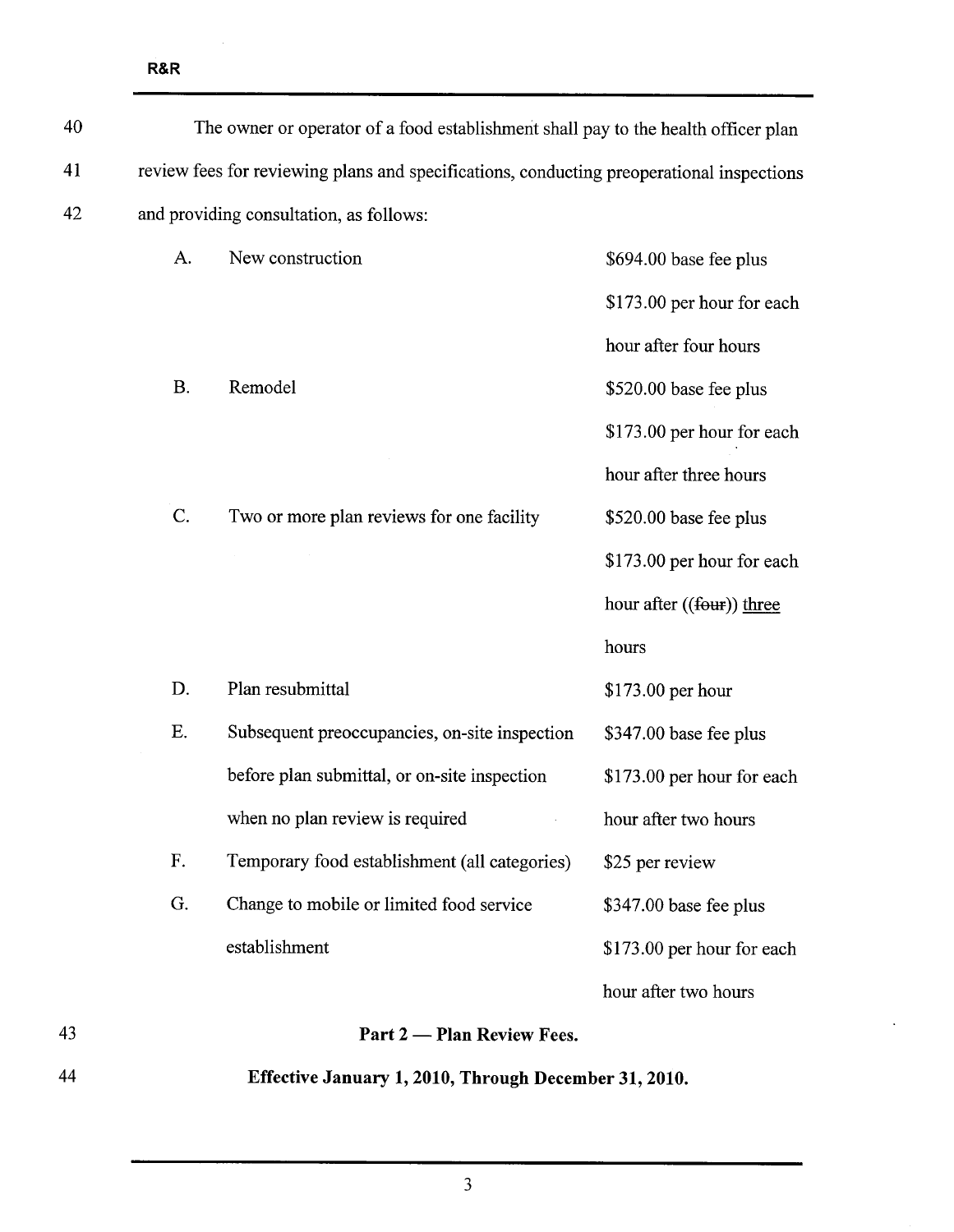R&R

| 44 |                                                                                           | Effective January 1, 2010, Through December 31, 2010. |                            |
|----|-------------------------------------------------------------------------------------------|-------------------------------------------------------|----------------------------|
| 43 |                                                                                           | Part 2 — Plan Review Fees.                            |                            |
|    |                                                                                           |                                                       | hour after two hours       |
|    |                                                                                           | establishment                                         | \$173.00 per hour for each |
|    | G.                                                                                        | Change to mobile or limited food service              | \$347.00 base fee plus     |
|    | F.                                                                                        | Temporary food establishment (all categories)         | \$25 per review            |
|    |                                                                                           | when no plan review is required                       | hour after two hours       |
|    |                                                                                           | before plan submittal, or on-site inspection          | \$173.00 per hour for each |
|    | Ε.                                                                                        | Subsequent preoccupancies, on-site inspection         | \$347.00 base fee plus     |
|    | D.                                                                                        | Plan resubmittal                                      | \$173.00 per hour          |
|    |                                                                                           |                                                       | hours                      |
|    |                                                                                           |                                                       | hour after ((four)) three  |
|    |                                                                                           |                                                       | \$173.00 per hour for each |
|    | C.                                                                                        | Two or more plan reviews for one facility             | \$520.00 base fee plus     |
|    |                                                                                           |                                                       | hour after three hours     |
|    |                                                                                           |                                                       | \$173.00 per hour for each |
|    | B.                                                                                        | Remodel                                               | \$520.00 base fee plus     |
|    |                                                                                           |                                                       | hour after four hours      |
|    |                                                                                           |                                                       | \$173.00 per hour for each |
|    | A.                                                                                        | New construction                                      | \$694.00 base fee plus     |
| 42 | and providing consultation, as follows:                                                   |                                                       |                            |
| 41 | review fees for reviewing plans and specifications, conducting preoperational inspections |                                                       |                            |
| 40 | The owner or operator of a food establishment shall pay to the health officer plan        |                                                       |                            |

3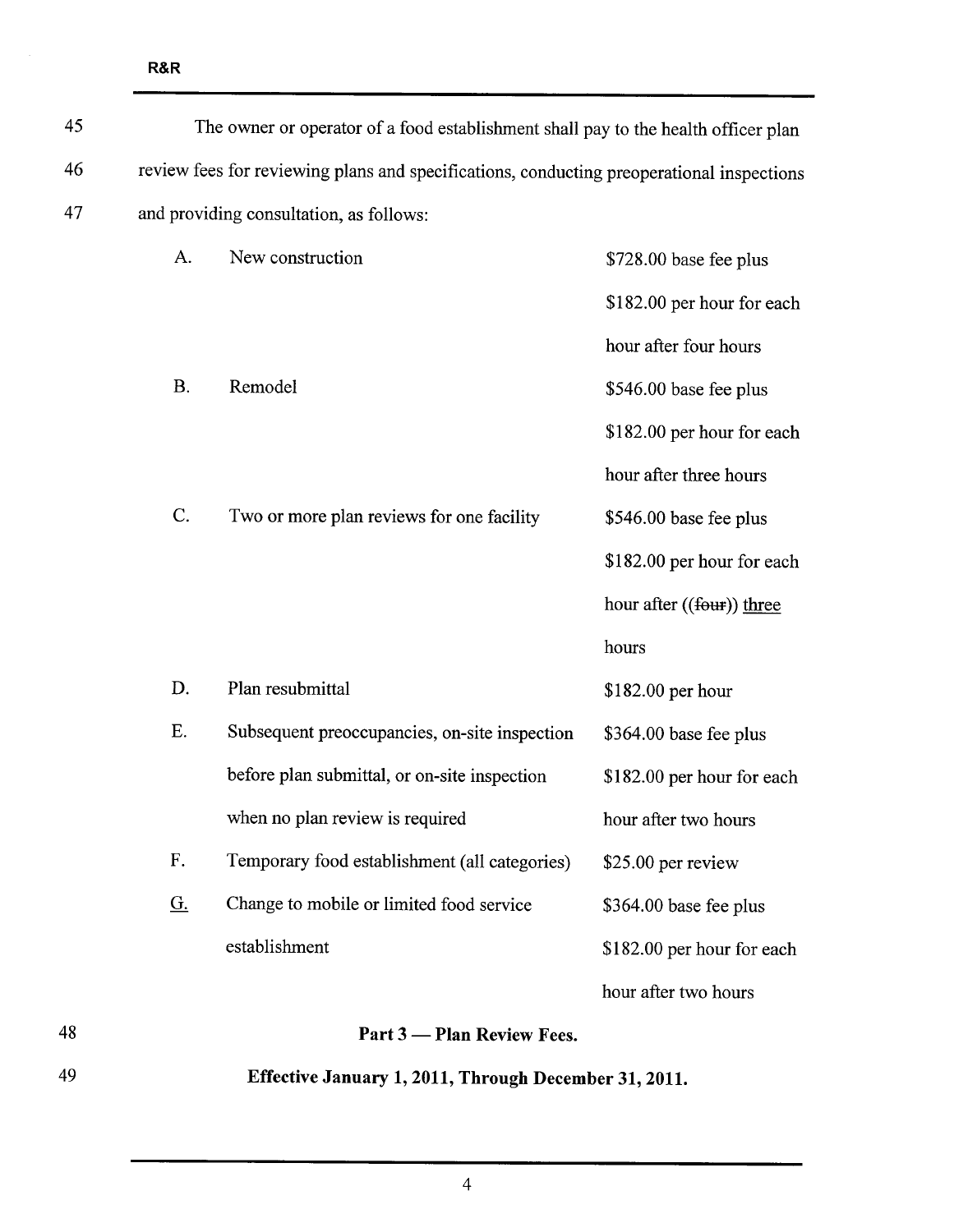| 49 |                                                                                           | Effective January 1, 2011, Through December 31, 2011. |                             |
|----|-------------------------------------------------------------------------------------------|-------------------------------------------------------|-----------------------------|
| 48 |                                                                                           | Part 3 — Plan Review Fees.                            |                             |
|    |                                                                                           |                                                       | hour after two hours        |
|    |                                                                                           | establishment                                         | \$182.00 per hour for each  |
|    | <u>G.</u>                                                                                 | Change to mobile or limited food service              | \$364.00 base fee plus      |
|    | ${\bf F}.$                                                                                | Temporary food establishment (all categories)         | \$25.00 per review          |
|    |                                                                                           | when no plan review is required                       | hour after two hours        |
|    |                                                                                           | before plan submittal, or on-site inspection          | \$182.00 per hour for each  |
|    | Ε.                                                                                        | Subsequent preoccupancies, on-site inspection         | \$364.00 base fee plus      |
|    | D.                                                                                        | Plan resubmittal                                      | \$182.00 per hour           |
|    |                                                                                           |                                                       | hours                       |
|    |                                                                                           |                                                       | hour after $((fout))$ three |
|    |                                                                                           |                                                       | \$182.00 per hour for each  |
|    | C.                                                                                        | Two or more plan reviews for one facility             | \$546.00 base fee plus      |
|    |                                                                                           |                                                       | hour after three hours      |
|    |                                                                                           |                                                       | \$182.00 per hour for each  |
|    | <b>B.</b>                                                                                 | Remodel                                               | \$546.00 base fee plus      |
|    |                                                                                           |                                                       | hour after four hours       |
|    |                                                                                           |                                                       | \$182.00 per hour for each  |
|    | A.                                                                                        | New construction                                      | \$728.00 base fee plus      |
| 47 | and providing consultation, as follows:                                                   |                                                       |                             |
| 46 | review fees for reviewing plans and specifications, conducting preoperational inspections |                                                       |                             |
| 45 | The owner or operator of a food establishment shall pay to the health officer plan        |                                                       |                             |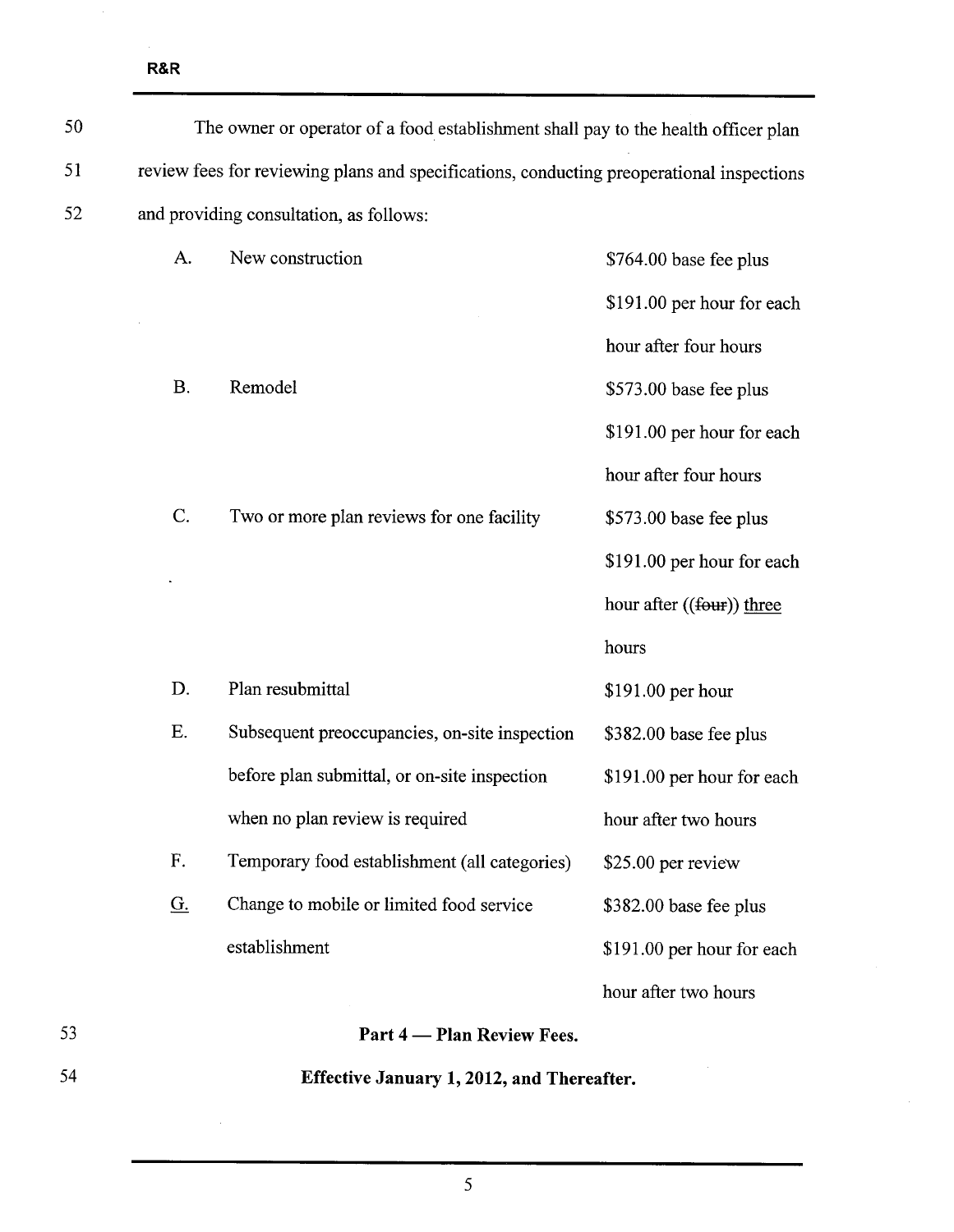| 50 | The owner or operator of a food establishment shall pay to the health officer plan        |                                               |                            |
|----|-------------------------------------------------------------------------------------------|-----------------------------------------------|----------------------------|
| 51 | review fees for reviewing plans and specifications, conducting preoperational inspections |                                               |                            |
| 52 | and providing consultation, as follows:                                                   |                                               |                            |
|    | A.                                                                                        | New construction                              | \$764.00 base fee plus     |
|    |                                                                                           |                                               | \$191.00 per hour for each |
|    |                                                                                           |                                               | hour after four hours      |
|    | <b>B.</b>                                                                                 | Remodel                                       | \$573.00 base fee plus     |
|    |                                                                                           |                                               | \$191.00 per hour for each |
|    |                                                                                           |                                               | hour after four hours      |
|    | $C$ .                                                                                     | Two or more plan reviews for one facility     | \$573.00 base fee plus     |
|    |                                                                                           |                                               | \$191.00 per hour for each |
|    |                                                                                           |                                               | hour after ((four)) three  |
|    |                                                                                           |                                               | hours                      |
|    | D.                                                                                        | Plan resubmittal                              | \$191.00 per hour          |
|    | Ε.                                                                                        | Subsequent preoccupancies, on-site inspection | \$382.00 base fee plus     |
|    |                                                                                           | before plan submittal, or on-site inspection  | \$191.00 per hour for each |
|    |                                                                                           | when no plan review is required               | hour after two hours       |
|    | F.                                                                                        | Temporary food establishment (all categories) | \$25.00 per review         |
|    | <u>G.</u>                                                                                 | Change to mobile or limited food service      | \$382.00 base fee plus     |
|    |                                                                                           | establishment                                 | \$191.00 per hour for each |
|    |                                                                                           |                                               | hour after two hours       |
| 53 |                                                                                           | Part 4 — Plan Review Fees.                    |                            |
| 54 | Effective January 1, 2012, and Thereafter.                                                |                                               |                            |

5

 $\sim 10$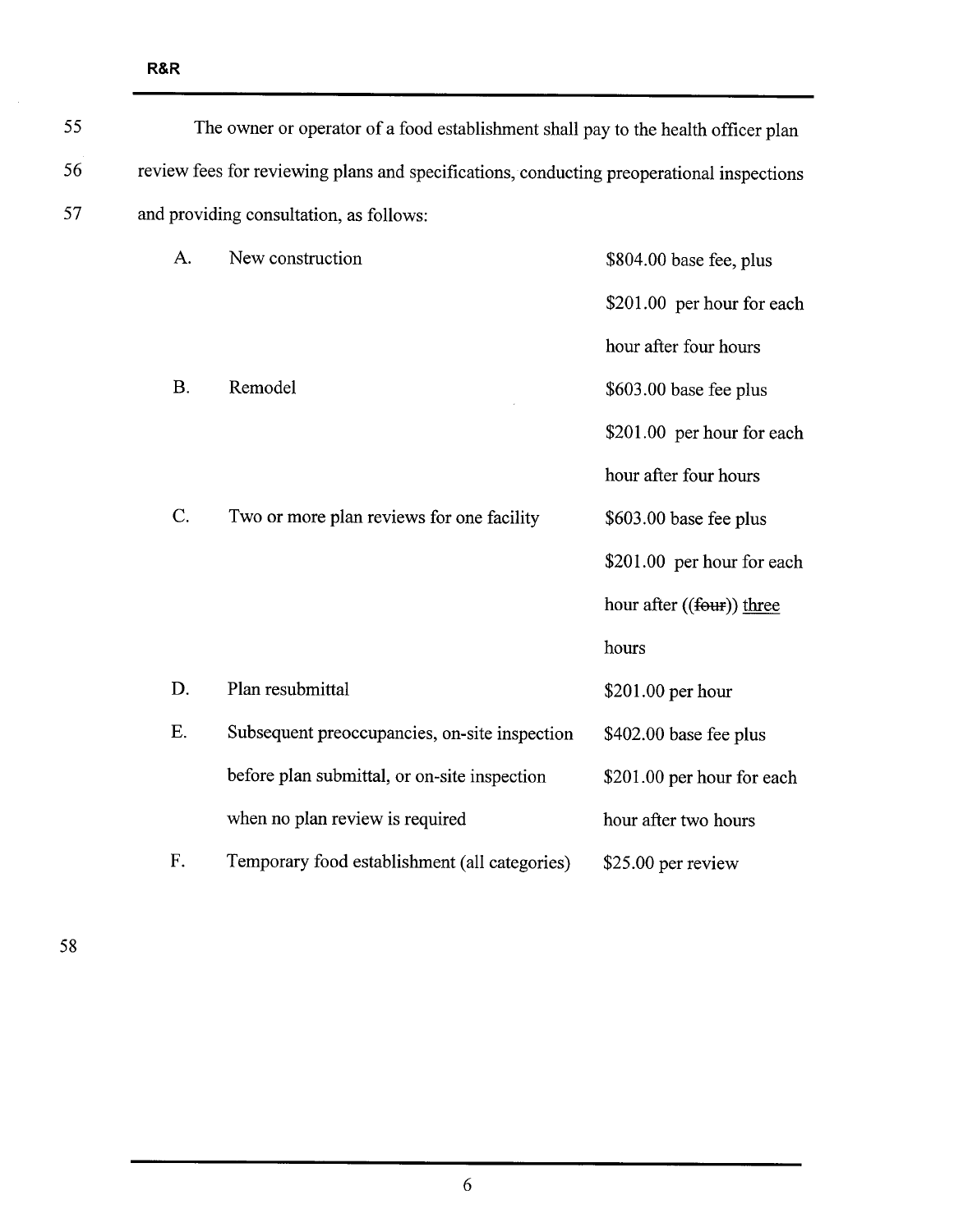| 55 | The owner or operator of a food establishment shall pay to the health officer plan        |                                               |                            |
|----|-------------------------------------------------------------------------------------------|-----------------------------------------------|----------------------------|
| 56 | review fees for reviewing plans and specifications, conducting preoperational inspections |                                               |                            |
| 57 |                                                                                           | and providing consultation, as follows:       |                            |
|    | A.                                                                                        | New construction                              | \$804.00 base fee, plus    |
|    |                                                                                           |                                               | \$201.00 per hour for each |
|    |                                                                                           |                                               | hour after four hours      |
|    | <b>B.</b>                                                                                 | Remodel                                       | \$603.00 base fee plus     |
|    |                                                                                           |                                               | \$201.00 per hour for each |
|    |                                                                                           |                                               | hour after four hours      |
|    | C.                                                                                        | Two or more plan reviews for one facility     | \$603.00 base fee plus     |
|    |                                                                                           |                                               | \$201.00 per hour for each |
|    |                                                                                           |                                               | hour after ((four)) three  |
|    |                                                                                           |                                               | hours                      |
|    | D.                                                                                        | Plan resubmittal                              | \$201.00 per hour          |
|    | E.                                                                                        | Subsequent preoccupancies, on-site inspection | \$402.00 base fee plus     |
|    |                                                                                           | before plan submittal, or on-site inspection  | \$201.00 per hour for each |
|    |                                                                                           | when no plan review is required               | hour after two hours       |
|    | F.                                                                                        | Temporary food establishment (all categories) | \$25.00 per review         |

58